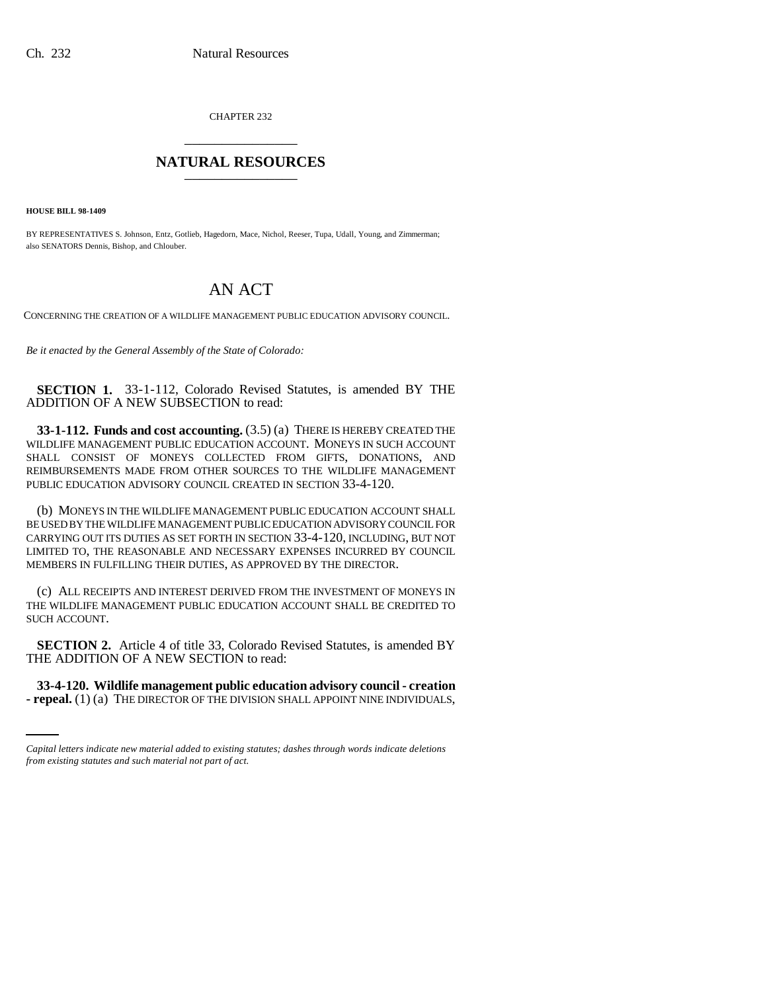CHAPTER 232 \_\_\_\_\_\_\_\_\_\_\_\_\_\_\_

## **NATURAL RESOURCES** \_\_\_\_\_\_\_\_\_\_\_\_\_\_\_

**HOUSE BILL 98-1409**

BY REPRESENTATIVES S. Johnson, Entz, Gotlieb, Hagedorn, Mace, Nichol, Reeser, Tupa, Udall, Young, and Zimmerman; also SENATORS Dennis, Bishop, and Chlouber.

## AN ACT

CONCERNING THE CREATION OF A WILDLIFE MANAGEMENT PUBLIC EDUCATION ADVISORY COUNCIL.

*Be it enacted by the General Assembly of the State of Colorado:*

**SECTION 1.** 33-1-112, Colorado Revised Statutes, is amended BY THE ADDITION OF A NEW SUBSECTION to read:

**33-1-112. Funds and cost accounting.** (3.5) (a) THERE IS HEREBY CREATED THE WILDLIFE MANAGEMENT PUBLIC EDUCATION ACCOUNT. MONEYS IN SUCH ACCOUNT SHALL CONSIST OF MONEYS COLLECTED FROM GIFTS, DONATIONS, AND REIMBURSEMENTS MADE FROM OTHER SOURCES TO THE WILDLIFE MANAGEMENT PUBLIC EDUCATION ADVISORY COUNCIL CREATED IN SECTION 33-4-120.

(b) MONEYS IN THE WILDLIFE MANAGEMENT PUBLIC EDUCATION ACCOUNT SHALL BE USED BY THE WILDLIFE MANAGEMENT PUBLIC EDUCATION ADVISORY COUNCIL FOR CARRYING OUT ITS DUTIES AS SET FORTH IN SECTION 33-4-120, INCLUDING, BUT NOT LIMITED TO, THE REASONABLE AND NECESSARY EXPENSES INCURRED BY COUNCIL MEMBERS IN FULFILLING THEIR DUTIES, AS APPROVED BY THE DIRECTOR.

(c) ALL RECEIPTS AND INTEREST DERIVED FROM THE INVESTMENT OF MONEYS IN THE WILDLIFE MANAGEMENT PUBLIC EDUCATION ACCOUNT SHALL BE CREDITED TO SUCH ACCOUNT.

**SECTION 2.** Article 4 of title 33, Colorado Revised Statutes, is amended BY THE ADDITION OF A NEW SECTION to read:

**33-4-120. Wildlife management public education advisory council - creation - repeal.** (1) (a) THE DIRECTOR OF THE DIVISION SHALL APPOINT NINE INDIVIDUALS,

*Capital letters indicate new material added to existing statutes; dashes through words indicate deletions from existing statutes and such material not part of act.*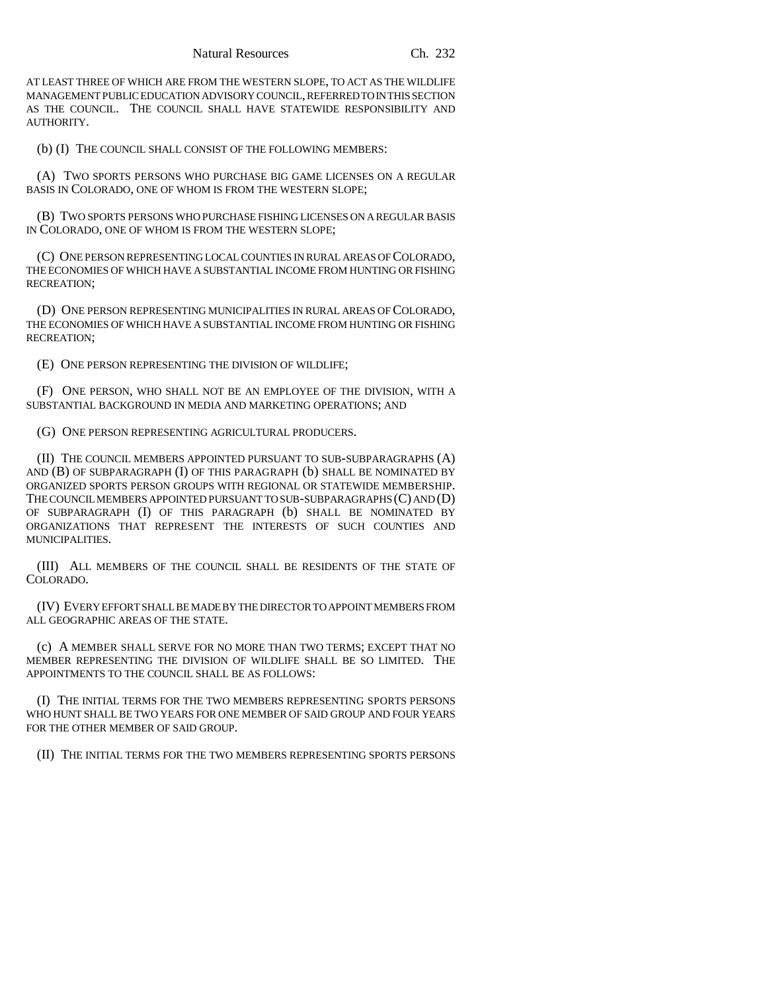AT LEAST THREE OF WHICH ARE FROM THE WESTERN SLOPE, TO ACT AS THE WILDLIFE MANAGEMENT PUBLIC EDUCATION ADVISORY COUNCIL, REFERRED TO IN THIS SECTION AS THE COUNCIL. THE COUNCIL SHALL HAVE STATEWIDE RESPONSIBILITY AND AUTHORITY.

(b) (I) THE COUNCIL SHALL CONSIST OF THE FOLLOWING MEMBERS:

(A) TWO SPORTS PERSONS WHO PURCHASE BIG GAME LICENSES ON A REGULAR BASIS IN COLORADO, ONE OF WHOM IS FROM THE WESTERN SLOPE;

(B) TWO SPORTS PERSONS WHO PURCHASE FISHING LICENSES ON A REGULAR BASIS IN COLORADO, ONE OF WHOM IS FROM THE WESTERN SLOPE;

(C) ONE PERSON REPRESENTING LOCAL COUNTIES IN RURAL AREAS OF COLORADO, THE ECONOMIES OF WHICH HAVE A SUBSTANTIAL INCOME FROM HUNTING OR FISHING RECREATION;

(D) ONE PERSON REPRESENTING MUNICIPALITIES IN RURAL AREAS OF COLORADO, THE ECONOMIES OF WHICH HAVE A SUBSTANTIAL INCOME FROM HUNTING OR FISHING RECREATION;

(E) ONE PERSON REPRESENTING THE DIVISION OF WILDLIFE;

(F) ONE PERSON, WHO SHALL NOT BE AN EMPLOYEE OF THE DIVISION, WITH A SUBSTANTIAL BACKGROUND IN MEDIA AND MARKETING OPERATIONS; AND

(G) ONE PERSON REPRESENTING AGRICULTURAL PRODUCERS.

(II) THE COUNCIL MEMBERS APPOINTED PURSUANT TO SUB-SUBPARAGRAPHS (A) AND (B) OF SUBPARAGRAPH (I) OF THIS PARAGRAPH (b) SHALL BE NOMINATED BY ORGANIZED SPORTS PERSON GROUPS WITH REGIONAL OR STATEWIDE MEMBERSHIP. THE COUNCIL MEMBERS APPOINTED PURSUANT TO SUB-SUBPARAGRAPHS (C) AND (D) OF SUBPARAGRAPH (I) OF THIS PARAGRAPH (b) SHALL BE NOMINATED BY ORGANIZATIONS THAT REPRESENT THE INTERESTS OF SUCH COUNTIES AND MUNICIPALITIES.

(III) ALL MEMBERS OF THE COUNCIL SHALL BE RESIDENTS OF THE STATE OF COLORADO.

(IV) EVERY EFFORT SHALL BE MADE BY THE DIRECTOR TO APPOINT MEMBERS FROM ALL GEOGRAPHIC AREAS OF THE STATE.

(c) A MEMBER SHALL SERVE FOR NO MORE THAN TWO TERMS; EXCEPT THAT NO MEMBER REPRESENTING THE DIVISION OF WILDLIFE SHALL BE SO LIMITED. THE APPOINTMENTS TO THE COUNCIL SHALL BE AS FOLLOWS:

(I) THE INITIAL TERMS FOR THE TWO MEMBERS REPRESENTING SPORTS PERSONS WHO HUNT SHALL BE TWO YEARS FOR ONE MEMBER OF SAID GROUP AND FOUR YEARS FOR THE OTHER MEMBER OF SAID GROUP.

(II) THE INITIAL TERMS FOR THE TWO MEMBERS REPRESENTING SPORTS PERSONS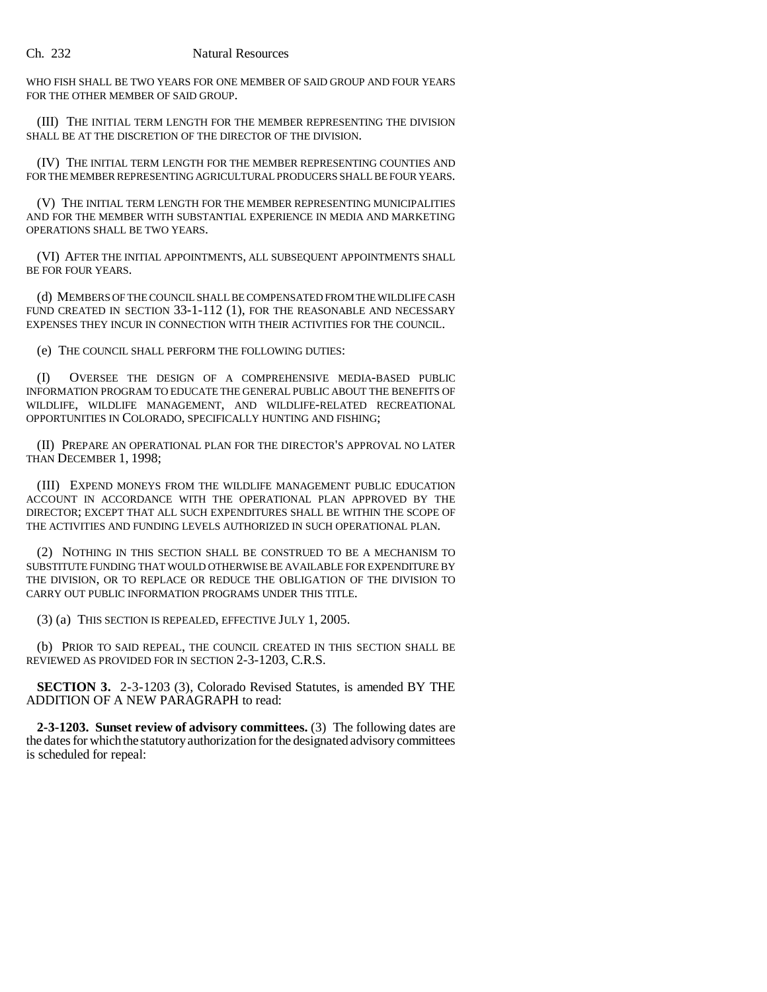WHO FISH SHALL BE TWO YEARS FOR ONE MEMBER OF SAID GROUP AND FOUR YEARS FOR THE OTHER MEMBER OF SAID GROUP.

(III) THE INITIAL TERM LENGTH FOR THE MEMBER REPRESENTING THE DIVISION SHALL BE AT THE DISCRETION OF THE DIRECTOR OF THE DIVISION.

(IV) THE INITIAL TERM LENGTH FOR THE MEMBER REPRESENTING COUNTIES AND FOR THE MEMBER REPRESENTING AGRICULTURAL PRODUCERS SHALL BE FOUR YEARS.

(V) THE INITIAL TERM LENGTH FOR THE MEMBER REPRESENTING MUNICIPALITIES AND FOR THE MEMBER WITH SUBSTANTIAL EXPERIENCE IN MEDIA AND MARKETING OPERATIONS SHALL BE TWO YEARS.

(VI) AFTER THE INITIAL APPOINTMENTS, ALL SUBSEQUENT APPOINTMENTS SHALL BE FOR FOUR YEARS.

(d) MEMBERS OF THE COUNCIL SHALL BE COMPENSATED FROM THE WILDLIFE CASH FUND CREATED IN SECTION 33-1-112 (1), FOR THE REASONABLE AND NECESSARY EXPENSES THEY INCUR IN CONNECTION WITH THEIR ACTIVITIES FOR THE COUNCIL.

(e) THE COUNCIL SHALL PERFORM THE FOLLOWING DUTIES:

(I) OVERSEE THE DESIGN OF A COMPREHENSIVE MEDIA-BASED PUBLIC INFORMATION PROGRAM TO EDUCATE THE GENERAL PUBLIC ABOUT THE BENEFITS OF WILDLIFE, WILDLIFE MANAGEMENT, AND WILDLIFE-RELATED RECREATIONAL OPPORTUNITIES IN COLORADO, SPECIFICALLY HUNTING AND FISHING;

(II) PREPARE AN OPERATIONAL PLAN FOR THE DIRECTOR'S APPROVAL NO LATER THAN DECEMBER 1, 1998;

(III) EXPEND MONEYS FROM THE WILDLIFE MANAGEMENT PUBLIC EDUCATION ACCOUNT IN ACCORDANCE WITH THE OPERATIONAL PLAN APPROVED BY THE DIRECTOR; EXCEPT THAT ALL SUCH EXPENDITURES SHALL BE WITHIN THE SCOPE OF THE ACTIVITIES AND FUNDING LEVELS AUTHORIZED IN SUCH OPERATIONAL PLAN.

(2) NOTHING IN THIS SECTION SHALL BE CONSTRUED TO BE A MECHANISM TO SUBSTITUTE FUNDING THAT WOULD OTHERWISE BE AVAILABLE FOR EXPENDITURE BY THE DIVISION, OR TO REPLACE OR REDUCE THE OBLIGATION OF THE DIVISION TO CARRY OUT PUBLIC INFORMATION PROGRAMS UNDER THIS TITLE.

(3) (a) THIS SECTION IS REPEALED, EFFECTIVE JULY 1, 2005.

(b) PRIOR TO SAID REPEAL, THE COUNCIL CREATED IN THIS SECTION SHALL BE REVIEWED AS PROVIDED FOR IN SECTION 2-3-1203, C.R.S.

**SECTION 3.** 2-3-1203 (3), Colorado Revised Statutes, is amended BY THE ADDITION OF A NEW PARAGRAPH to read:

**2-3-1203. Sunset review of advisory committees.** (3) The following dates are the dates for which the statutory authorization for the designated advisory committees is scheduled for repeal: